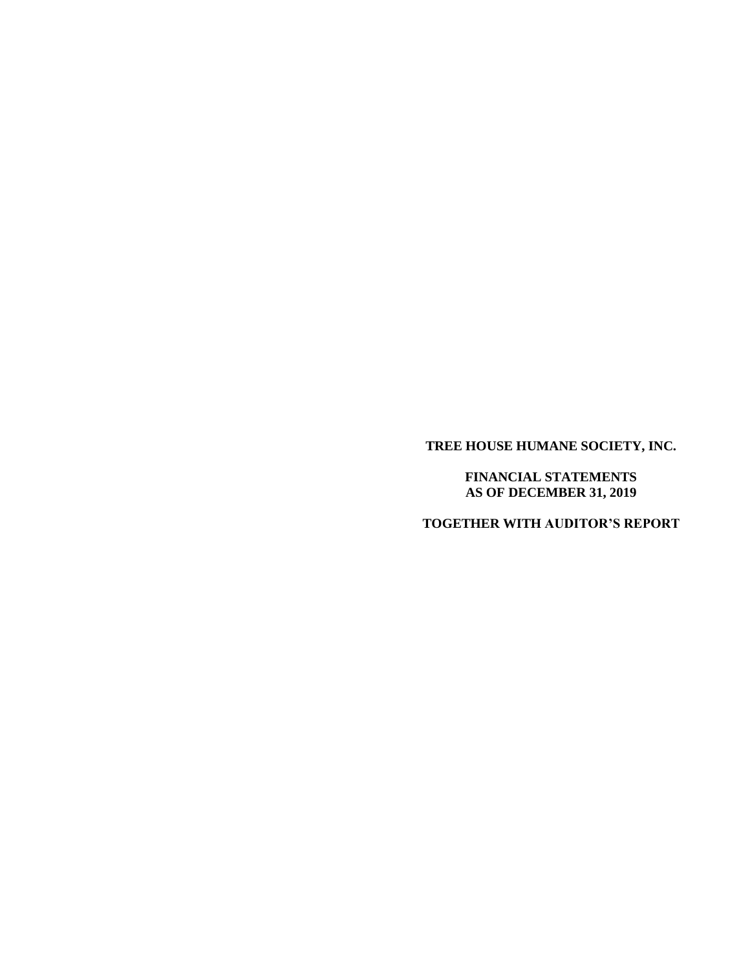**TREE HOUSE HUMANE SOCIETY, INC.**

**FINANCIAL STATEMENTS AS OF DECEMBER 31, 2019**

**TOGETHER WITH AUDITOR'S REPORT**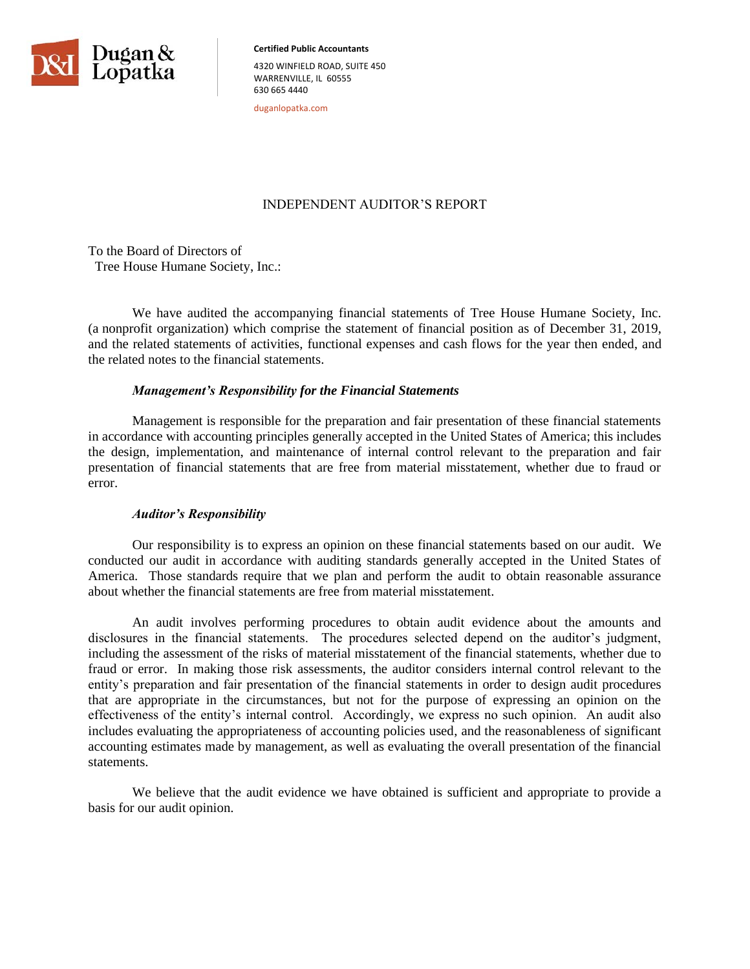

**Certified Public Accountants**  4320 WINFIELD ROAD, SUITE 450 WARRENVILLE, IL 60555 630 665 4440

duganlopatka.com

# INDEPENDENT AUDITOR'S REPORT

To the Board of Directors of Tree House Humane Society, Inc.:

We have audited the accompanying financial statements of Tree House Humane Society, Inc. (a nonprofit organization) which comprise the statement of financial position as of December 31, 2019, and the related statements of activities, functional expenses and cash flows for the year then ended, and the related notes to the financial statements.

# *Management's Responsibility for the Financial Statements*

Management is responsible for the preparation and fair presentation of these financial statements in accordance with accounting principles generally accepted in the United States of America; this includes the design, implementation, and maintenance of internal control relevant to the preparation and fair presentation of financial statements that are free from material misstatement, whether due to fraud or error.

### *Auditor's Responsibility*

Our responsibility is to express an opinion on these financial statements based on our audit. We conducted our audit in accordance with auditing standards generally accepted in the United States of America. Those standards require that we plan and perform the audit to obtain reasonable assurance about whether the financial statements are free from material misstatement.

An audit involves performing procedures to obtain audit evidence about the amounts and disclosures in the financial statements. The procedures selected depend on the auditor's judgment, including the assessment of the risks of material misstatement of the financial statements, whether due to fraud or error. In making those risk assessments, the auditor considers internal control relevant to the entity's preparation and fair presentation of the financial statements in order to design audit procedures that are appropriate in the circumstances, but not for the purpose of expressing an opinion on the effectiveness of the entity's internal control. Accordingly, we express no such opinion. An audit also includes evaluating the appropriateness of accounting policies used, and the reasonableness of significant accounting estimates made by management, as well as evaluating the overall presentation of the financial statements.

We believe that the audit evidence we have obtained is sufficient and appropriate to provide a basis for our audit opinion.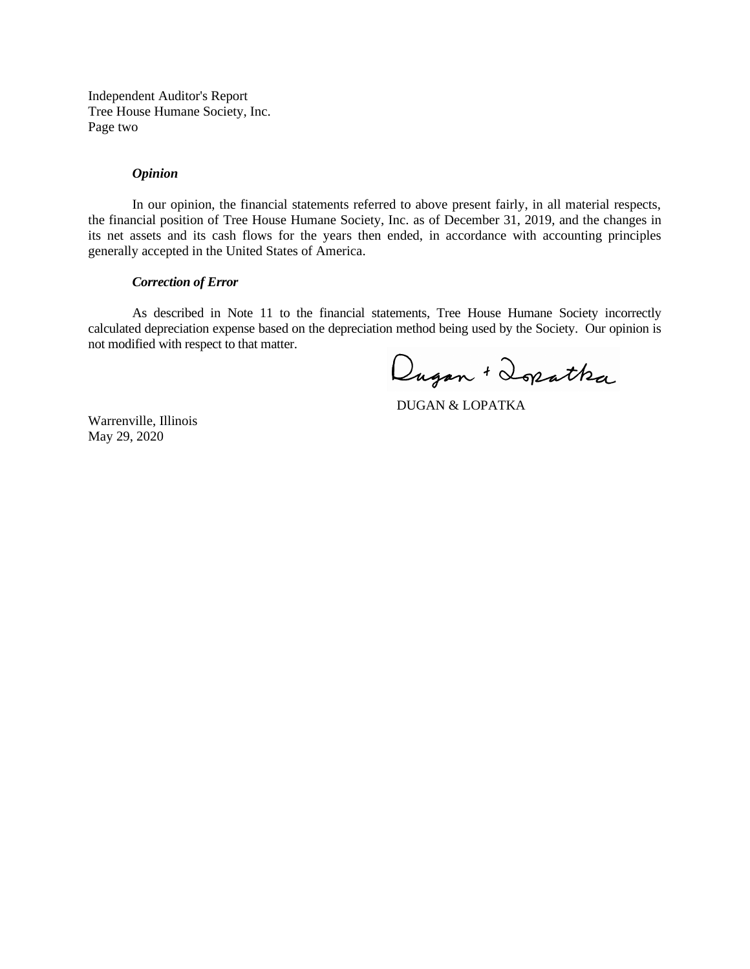Independent Auditor's Report Tree House Humane Society, Inc. Page two

#### *Opinion*

In our opinion, the financial statements referred to above present fairly, in all material respects, the financial position of Tree House Humane Society, Inc. as of December 31, 2019, and the changes in its net assets and its cash flows for the years then ended, in accordance with accounting principles generally accepted in the United States of America.

### *Correction of Error*

As described in Note 11 to the financial statements, Tree House Humane Society incorrectly calculated depreciation expense based on the depreciation method being used by the Society. Our opinion is not modified with respect to that matter.

Dugan + Dopatha

DUGAN & LOPATKA

Warrenville, Illinois May 29, 2020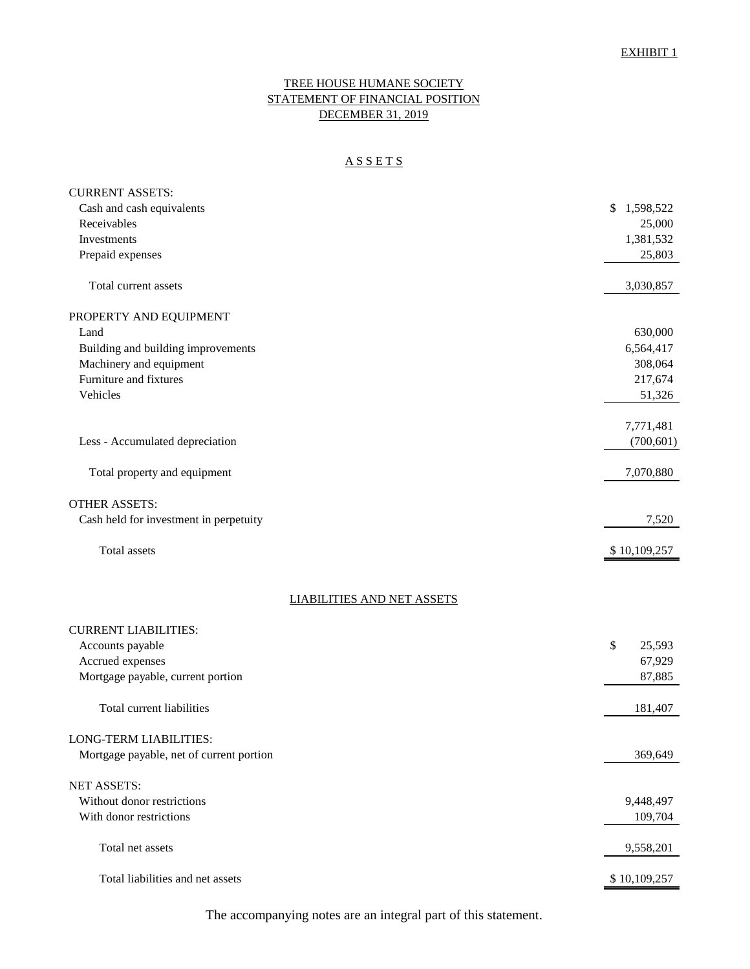# TREE HOUSE HUMANE SOCIETY STATEMENT OF FINANCIAL POSITION DECEMBER 31, 2019

# A S S E T S

| <b>CURRENT ASSETS:</b>                   |                 |
|------------------------------------------|-----------------|
| Cash and cash equivalents                | \$<br>1,598,522 |
| Receivables                              | 25,000          |
| Investments                              | 1,381,532       |
| Prepaid expenses                         | 25,803          |
| Total current assets                     | 3,030,857       |
|                                          |                 |
| PROPERTY AND EQUIPMENT                   |                 |
| Land                                     | 630,000         |
| Building and building improvements       | 6,564,417       |
| Machinery and equipment                  | 308,064         |
| Furniture and fixtures                   | 217,674         |
| Vehicles                                 | 51,326          |
|                                          | 7,771,481       |
| Less - Accumulated depreciation          | (700, 601)      |
|                                          |                 |
| Total property and equipment             | 7,070,880       |
| <b>OTHER ASSETS:</b>                     |                 |
| Cash held for investment in perpetuity   | 7,520           |
|                                          |                 |
| Total assets                             | \$10,109,257    |
|                                          |                 |
| <b>LIABILITIES AND NET ASSETS</b>        |                 |
| <b>CURRENT LIABILITIES:</b>              |                 |
| Accounts payable                         | \$<br>25,593    |
| Accrued expenses                         | 67,929          |
| Mortgage payable, current portion        | 87,885          |
| Total current liabilities                | 181,407         |
|                                          |                 |
| <b>LONG-TERM LIABILITIES:</b>            |                 |
| Mortgage payable, net of current portion | 369,649         |
| <b>NET ASSETS:</b>                       |                 |
| Without donor restrictions               | 9,448,497       |
| With donor restrictions                  | 109,704         |
|                                          |                 |
| Total net assets                         | 9,558,201       |
| Total liabilities and net assets         | \$10,109,257    |
|                                          |                 |

The accompanying notes are an integral part of this statement.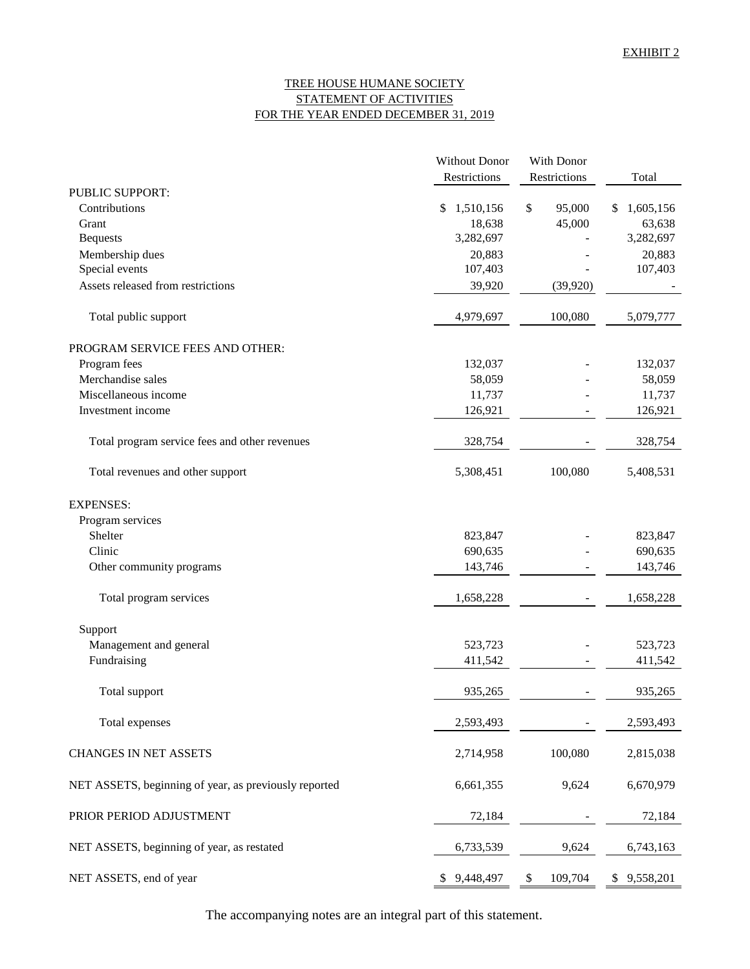# TREE HOUSE HUMANE SOCIETY STATEMENT OF ACTIVITIES FOR THE YEAR ENDED DECEMBER 31, 2019

|                                                       | Without Donor   | With Donor    |                |
|-------------------------------------------------------|-----------------|---------------|----------------|
|                                                       | Restrictions    | Restrictions  | Total          |
| PUBLIC SUPPORT:                                       |                 |               |                |
| Contributions                                         | \$<br>1,510,156 | \$<br>95,000  | 1,605,156<br>S |
| Grant                                                 | 18,638          | 45,000        | 63,638         |
| <b>Bequests</b>                                       | 3,282,697       |               | 3,282,697      |
| Membership dues                                       | 20,883          |               | 20,883         |
| Special events                                        | 107,403         |               | 107,403        |
| Assets released from restrictions                     | 39,920          | (39, 920)     |                |
| Total public support                                  | 4,979,697       | 100,080       | 5,079,777      |
| PROGRAM SERVICE FEES AND OTHER:                       |                 |               |                |
| Program fees                                          | 132,037         |               | 132,037        |
| Merchandise sales                                     | 58,059          |               | 58,059         |
| Miscellaneous income                                  | 11,737          |               | 11,737         |
| Investment income                                     | 126,921         |               | 126,921        |
| Total program service fees and other revenues         | 328,754         |               | 328,754        |
| Total revenues and other support                      | 5,308,451       | 100,080       | 5,408,531      |
| <b>EXPENSES:</b>                                      |                 |               |                |
| Program services                                      |                 |               |                |
| Shelter                                               | 823,847         |               | 823,847        |
| Clinic                                                | 690,635         |               | 690,635        |
| Other community programs                              | 143,746         |               | 143,746        |
| Total program services                                | 1,658,228       |               | 1,658,228      |
| Support                                               |                 |               |                |
| Management and general                                | 523,723         |               | 523,723        |
| Fundraising                                           | 411,542         |               | 411,542        |
| Total support                                         | 935,265         |               | 935,265        |
| Total expenses                                        | 2,593,493       |               | 2,593,493      |
| CHANGES IN NET ASSETS                                 | 2,714,958       | 100,080       | 2,815,038      |
| NET ASSETS, beginning of year, as previously reported | 6,661,355       | 9,624         | 6,670,979      |
| PRIOR PERIOD ADJUSTMENT                               | 72,184          |               | 72,184         |
| NET ASSETS, beginning of year, as restated            | 6,733,539       | 9,624         | 6,743,163      |
| NET ASSETS, end of year                               | \$9,448,497     | 109,704<br>\$ | \$9,558,201    |

The accompanying notes are an integral part of this statement.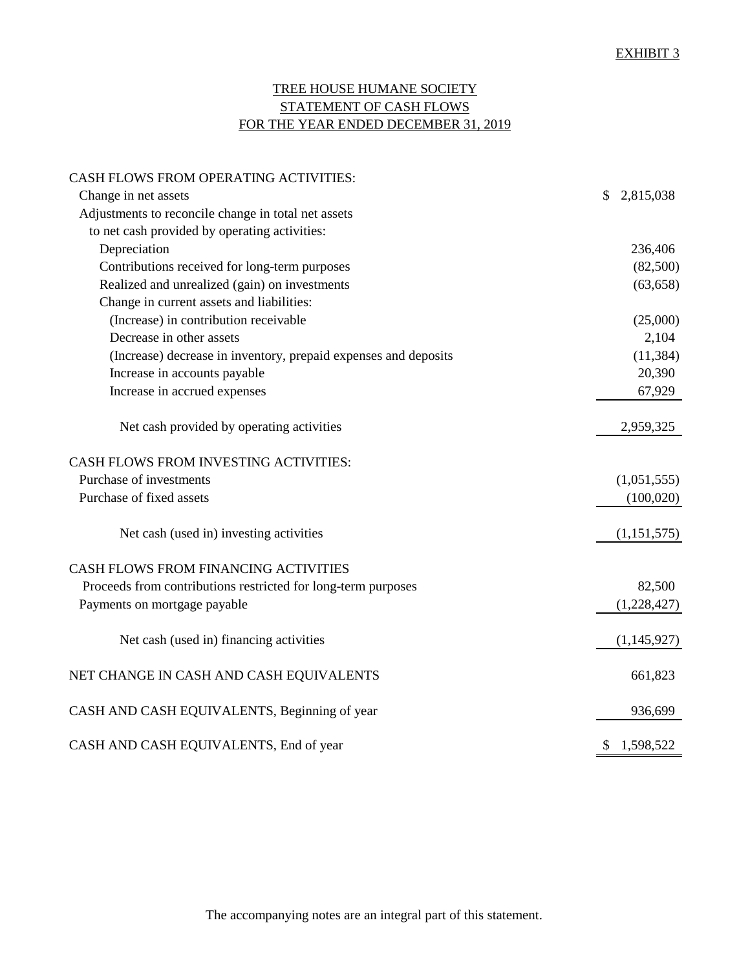# TREE HOUSE HUMANE SOCIETY STATEMENT OF CASH FLOWS FOR THE YEAR ENDED DECEMBER 31, 2019

| CASH FLOWS FROM OPERATING ACTIVITIES:                           |                 |
|-----------------------------------------------------------------|-----------------|
| Change in net assets                                            | \$<br>2,815,038 |
| Adjustments to reconcile change in total net assets             |                 |
| to net cash provided by operating activities:                   |                 |
| Depreciation                                                    | 236,406         |
| Contributions received for long-term purposes                   | (82,500)        |
| Realized and unrealized (gain) on investments                   | (63, 658)       |
| Change in current assets and liabilities:                       |                 |
| (Increase) in contribution receivable                           | (25,000)        |
| Decrease in other assets                                        | 2,104           |
| (Increase) decrease in inventory, prepaid expenses and deposits | (11, 384)       |
| Increase in accounts payable                                    | 20,390          |
| Increase in accrued expenses                                    | 67,929          |
| Net cash provided by operating activities                       | 2,959,325       |
| CASH FLOWS FROM INVESTING ACTIVITIES:                           |                 |
| Purchase of investments                                         | (1,051,555)     |
| Purchase of fixed assets                                        | (100, 020)      |
| Net cash (used in) investing activities                         | (1, 151, 575)   |
| CASH FLOWS FROM FINANCING ACTIVITIES                            |                 |
| Proceeds from contributions restricted for long-term purposes   | 82,500          |
| Payments on mortgage payable                                    | (1,228,427)     |
| Net cash (used in) financing activities                         | (1,145,927)     |
| NET CHANGE IN CASH AND CASH EQUIVALENTS                         | 661,823         |
| CASH AND CASH EQUIVALENTS, Beginning of year                    | 936,699         |
| CASH AND CASH EQUIVALENTS, End of year                          | \$1,598,522     |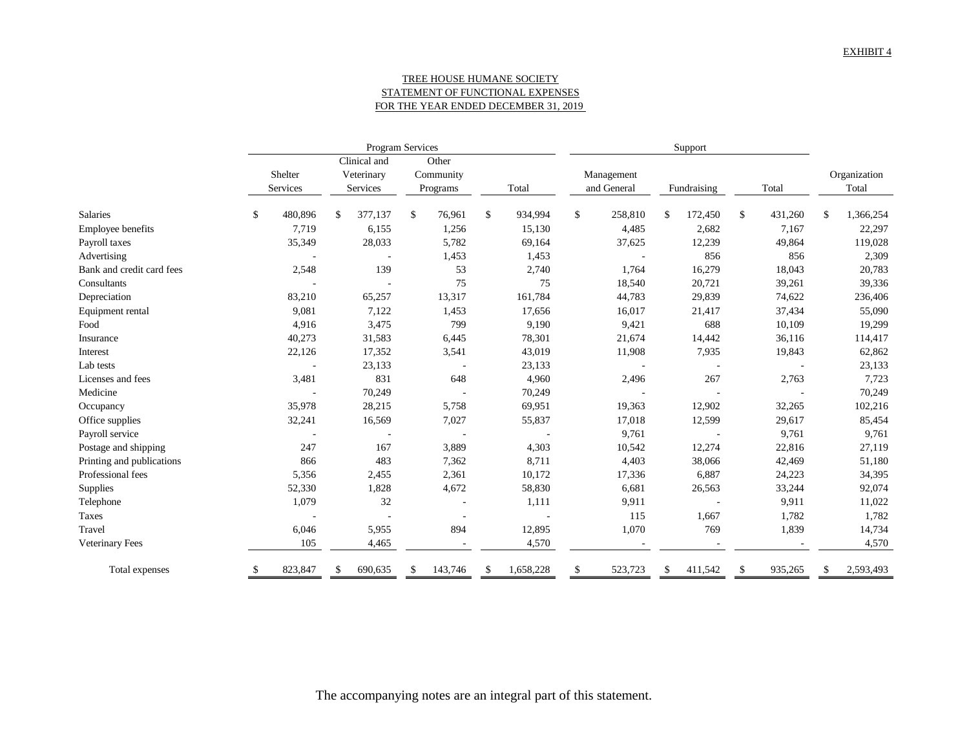### TREE HOUSE HUMANE SOCIETY STATEMENT OF FUNCTIONAL EXPENSES FOR THE YEAR ENDED DECEMBER 31, 2019

|                           |                     | Program Services |                                        |         |    |                                | Support |           |    |                           |     |             |    |         |    |                       |
|---------------------------|---------------------|------------------|----------------------------------------|---------|----|--------------------------------|---------|-----------|----|---------------------------|-----|-------------|----|---------|----|-----------------------|
|                           | Shelter<br>Services |                  | Clinical and<br>Veterinary<br>Services |         |    | Other<br>Community<br>Programs |         | Total     |    | Management<br>and General |     | Fundraising |    | Total   |    | Organization<br>Total |
|                           |                     |                  |                                        |         |    |                                |         |           |    |                           |     |             |    |         |    |                       |
| <b>Salaries</b>           | \$                  | 480,896          | \$.                                    | 377,137 | \$ | 76,961                         | \$      | 934,994   | \$ | 258,810                   | \$  | 172,450     | \$ | 431,260 | \$ | 1,366,254             |
| <b>Employee benefits</b>  |                     | 7,719            |                                        | 6,155   |    | 1,256                          |         | 15,130    |    | 4,485                     |     | 2,682       |    | 7,167   |    | 22,297                |
| Payroll taxes             |                     | 35,349           |                                        | 28,033  |    | 5,782                          |         | 69,164    |    | 37,625                    |     | 12,239      |    | 49,864  |    | 119,028               |
| Advertising               |                     |                  |                                        |         |    | 1,453                          |         | 1,453     |    |                           |     | 856         |    | 856     |    | 2,309                 |
| Bank and credit card fees |                     | 2,548            |                                        | 139     |    | 53                             |         | 2,740     |    | 1,764                     |     | 16,279      |    | 18,043  |    | 20,783                |
| Consultants               |                     |                  |                                        |         |    | 75                             |         | 75        |    | 18,540                    |     | 20,721      |    | 39,261  |    | 39,336                |
| Depreciation              |                     | 83,210           |                                        | 65,257  |    | 13,317                         |         | 161,784   |    | 44,783                    |     | 29,839      |    | 74,622  |    | 236,406               |
| Equipment rental          |                     | 9,081            |                                        | 7,122   |    | 1,453                          |         | 17,656    |    | 16,017                    |     | 21,417      |    | 37,434  |    | 55,090                |
| Food                      |                     | 4,916            |                                        | 3,475   |    | 799                            |         | 9,190     |    | 9,421                     |     | 688         |    | 10,109  |    | 19,299                |
| Insurance                 |                     | 40,273           |                                        | 31,583  |    | 6,445                          |         | 78,301    |    | 21,674                    |     | 14,442      |    | 36,116  |    | 114,417               |
| Interest                  |                     | 22,126           |                                        | 17,352  |    | 3,541                          |         | 43,019    |    | 11,908                    |     | 7,935       |    | 19,843  |    | 62,862                |
| Lab tests                 |                     |                  |                                        | 23,133  |    |                                |         | 23,133    |    |                           |     |             |    |         |    | 23,133                |
| Licenses and fees         |                     | 3,481            |                                        | 831     |    | 648                            |         | 4,960     |    | 2,496                     |     | 267         |    | 2,763   |    | 7,723                 |
| Medicine                  |                     |                  |                                        | 70,249  |    |                                |         | 70,249    |    |                           |     |             |    |         |    | 70,249                |
| Occupancy                 |                     | 35,978           |                                        | 28,215  |    | 5,758                          |         | 69,951    |    | 19,363                    |     | 12,902      |    | 32,265  |    | 102,216               |
| Office supplies           |                     | 32,241           |                                        | 16,569  |    | 7,027                          |         | 55,837    |    | 17,018                    |     | 12,599      |    | 29,617  |    | 85,454                |
| Payroll service           |                     |                  |                                        |         |    |                                |         |           |    | 9,761                     |     |             |    | 9,761   |    | 9,761                 |
| Postage and shipping      |                     | 247              |                                        | 167     |    | 3,889                          |         | 4,303     |    | 10,542                    |     | 12,274      |    | 22,816  |    | 27,119                |
| Printing and publications |                     | 866              |                                        | 483     |    | 7,362                          |         | 8,711     |    | 4,403                     |     | 38,066      |    | 42,469  |    | 51,180                |
| Professional fees         |                     | 5,356            |                                        | 2,455   |    | 2,361                          |         | 10,172    |    | 17,336                    |     | 6,887       |    | 24,223  |    | 34,395                |
| Supplies                  |                     | 52,330           |                                        | 1,828   |    | 4,672                          |         | 58,830    |    | 6,681                     |     | 26,563      |    | 33,244  |    | 92,074                |
| Telephone                 |                     | 1,079            |                                        | 32      |    |                                |         | 1,111     |    | 9,911                     |     |             |    | 9,911   |    | 11,022                |
| Taxes                     |                     |                  |                                        |         |    |                                |         |           |    | 115                       |     | 1,667       |    | 1,782   |    | 1,782                 |
| Travel                    |                     | 6,046            |                                        | 5,955   |    | 894                            |         | 12,895    |    | 1,070                     |     | 769         |    | 1,839   |    | 14,734                |
| Veterinary Fees           |                     | 105              |                                        | 4,465   |    |                                |         | 4,570     |    |                           |     |             |    |         |    | 4,570                 |
| Total expenses            |                     | 823,847          |                                        | 690,635 |    | 143,746                        | S       | 1,658,228 | S  | 523,723                   | \$. | 411,542     |    | 935,265 | S  | 2,593,493             |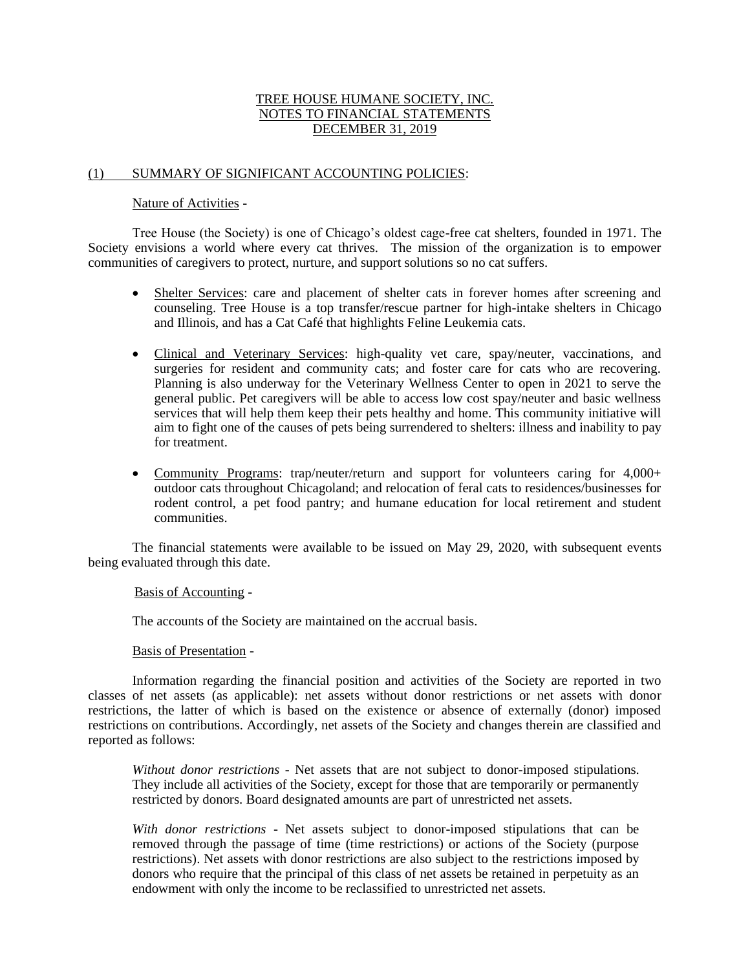# TREE HOUSE HUMANE SOCIETY, INC. NOTES TO FINANCIAL STATEMENTS DECEMBER 31, 2019

### (1) SUMMARY OF SIGNIFICANT ACCOUNTING POLICIES:

### Nature of Activities -

Tree House (the Society) is one of Chicago's oldest cage-free cat shelters, founded in 1971. The Society envisions a world where every cat thrives. The mission of the organization is to empower communities of caregivers to protect, nurture, and support solutions so no cat suffers.

- Shelter Services: care and placement of shelter cats in forever homes after screening and counseling. Tree House is a top transfer/rescue partner for high-intake shelters in Chicago and Illinois, and has a Cat Café that highlights Feline Leukemia cats.
- Clinical and Veterinary Services: high-quality vet care, spay/neuter, vaccinations, and surgeries for resident and community cats; and foster care for cats who are recovering. Planning is also underway for the Veterinary Wellness Center to open in 2021 to serve the general public. Pet caregivers will be able to access low cost spay/neuter and basic wellness services that will help them keep their pets healthy and home. This community initiative will aim to fight one of the causes of pets being surrendered to shelters: illness and inability to pay for treatment.
- Community Programs: trap/neuter/return and support for volunteers caring for 4,000+ outdoor cats throughout Chicagoland; and relocation of feral cats to residences/businesses for rodent control, a pet food pantry; and humane education for local retirement and student communities.

The financial statements were available to be issued on May 29, 2020, with subsequent events being evaluated through this date.

# Basis of Accounting -

The accounts of the Society are maintained on the accrual basis.

### Basis of Presentation -

Information regarding the financial position and activities of the Society are reported in two classes of net assets (as applicable): net assets without donor restrictions or net assets with donor restrictions, the latter of which is based on the existence or absence of externally (donor) imposed restrictions on contributions. Accordingly, net assets of the Society and changes therein are classified and reported as follows:

*Without donor restrictions* - Net assets that are not subject to donor-imposed stipulations. They include all activities of the Society, except for those that are temporarily or permanently restricted by donors. Board designated amounts are part of unrestricted net assets.

*With donor restrictions* - Net assets subject to donor-imposed stipulations that can be removed through the passage of time (time restrictions) or actions of the Society (purpose restrictions). Net assets with donor restrictions are also subject to the restrictions imposed by donors who require that the principal of this class of net assets be retained in perpetuity as an endowment with only the income to be reclassified to unrestricted net assets.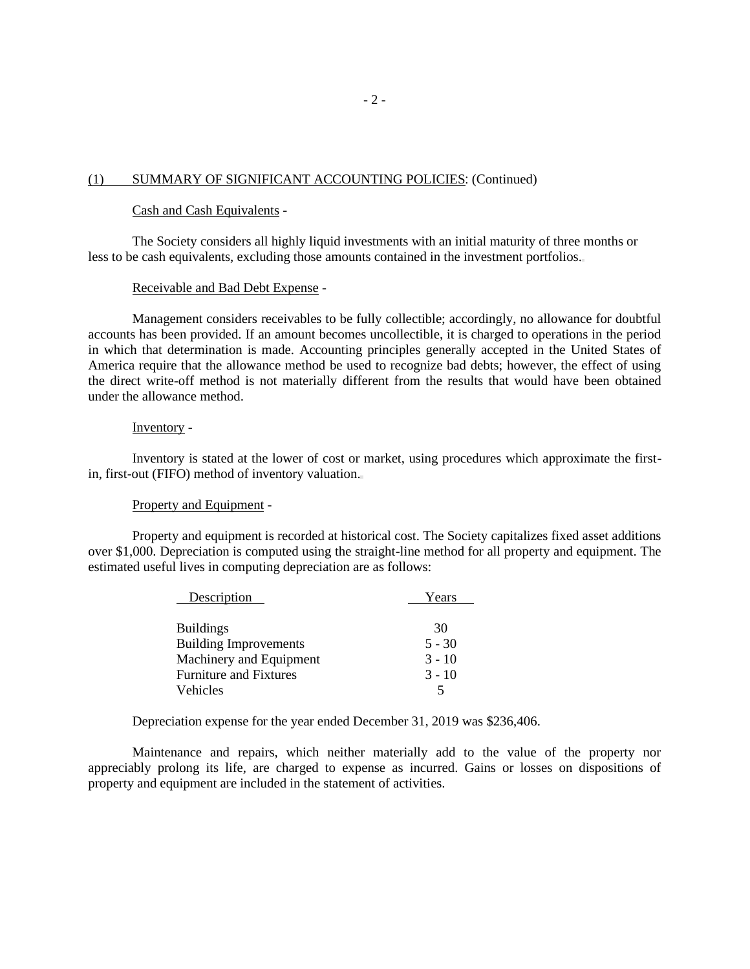# (1) SUMMARY OF SIGNIFICANT ACCOUNTING POLICIES: (Continued)

### Cash and Cash Equivalents -

The Society considers all highly liquid investments with an initial maturity of three months or less to be cash equivalents, excluding those amounts contained in the investment portfolios.

#### Receivable and Bad Debt Expense -

Management considers receivables to be fully collectible; accordingly, no allowance for doubtful accounts has been provided. If an amount becomes uncollectible, it is charged to operations in the period in which that determination is made. Accounting principles generally accepted in the United States of America require that the allowance method be used to recognize bad debts; however, the effect of using the direct write-off method is not materially different from the results that would have been obtained under the allowance method.

#### Inventory -

Inventory is stated at the lower of cost or market, using procedures which approximate the firstin, first-out (FIFO) method of inventory valuation.

### Property and Equipment -

Property and equipment is recorded at historical cost. The Society capitalizes fixed asset additions over \$1,000. Depreciation is computed using the straight-line method for all property and equipment. The estimated useful lives in computing depreciation are as follows:

| Description                   | Years    |
|-------------------------------|----------|
| <b>Buildings</b>              | 30       |
| <b>Building Improvements</b>  | $5 - 30$ |
| Machinery and Equipment       | $3 - 10$ |
| <b>Furniture and Fixtures</b> | $3 - 10$ |
| Vehicles                      |          |

Depreciation expense for the year ended December 31, 2019 was \$236,406.

Maintenance and repairs, which neither materially add to the value of the property nor appreciably prolong its life, are charged to expense as incurred. Gains or losses on dispositions of property and equipment are included in the statement of activities.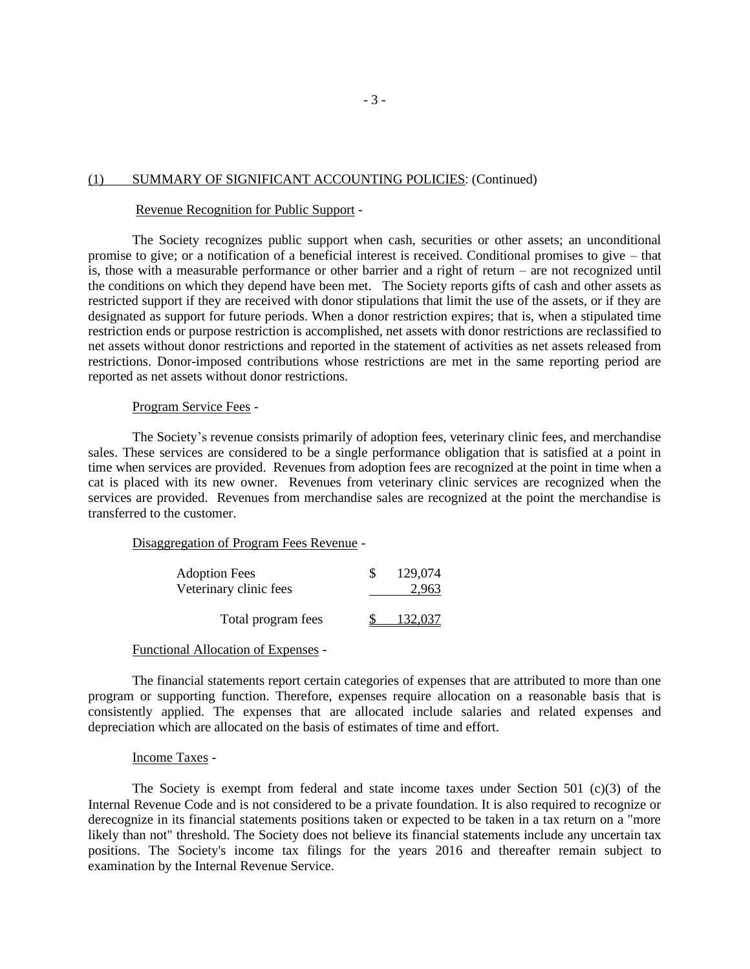### (1) SUMMARY OF SIGNIFICANT ACCOUNTING POLICIES: (Continued)

#### Revenue Recognition for Public Support -

The Society recognizes public support when cash, securities or other assets; an unconditional promise to give; or a notification of a beneficial interest is received. Conditional promises to give – that is, those with a measurable performance or other barrier and a right of return – are not recognized until the conditions on which they depend have been met. The Society reports gifts of cash and other assets as restricted support if they are received with donor stipulations that limit the use of the assets, or if they are designated as support for future periods. When a donor restriction expires; that is, when a stipulated time restriction ends or purpose restriction is accomplished, net assets with donor restrictions are reclassified to net assets without donor restrictions and reported in the statement of activities as net assets released from restrictions. Donor-imposed contributions whose restrictions are met in the same reporting period are reported as net assets without donor restrictions.

#### Program Service Fees -

The Society's revenue consists primarily of adoption fees, veterinary clinic fees, and merchandise sales. These services are considered to be a single performance obligation that is satisfied at a point in time when services are provided. Revenues from adoption fees are recognized at the point in time when a cat is placed with its new owner. Revenues from veterinary clinic services are recognized when the services are provided. Revenues from merchandise sales are recognized at the point the merchandise is transferred to the customer.

Disaggregation of Program Fees Revenue -

| <b>Adoption Fees</b>   | 129,074 |
|------------------------|---------|
| Veterinary clinic fees | 2,963   |
|                        |         |
| Total program fees     | 132,037 |

#### Functional Allocation of Expenses -

The financial statements report certain categories of expenses that are attributed to more than one program or supporting function. Therefore, expenses require allocation on a reasonable basis that is consistently applied. The expenses that are allocated include salaries and related expenses and depreciation which are allocated on the basis of estimates of time and effort.

#### Income Taxes -

The Society is exempt from federal and state income taxes under Section 501 (c)(3) of the Internal Revenue Code and is not considered to be a private foundation. It is also required to recognize or derecognize in its financial statements positions taken or expected to be taken in a tax return on a "more likely than not" threshold. The Society does not believe its financial statements include any uncertain tax positions. The Society's income tax filings for the years 2016 and thereafter remain subject to examination by the Internal Revenue Service.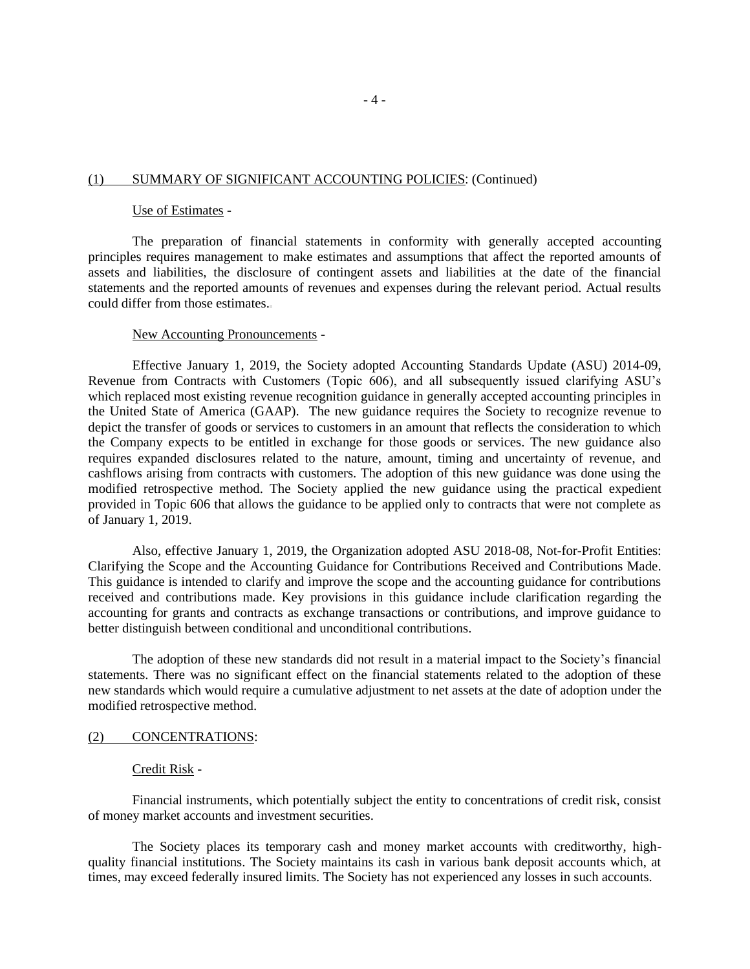### (1) SUMMARY OF SIGNIFICANT ACCOUNTING POLICIES: (Continued)

#### Use of Estimates -

The preparation of financial statements in conformity with generally accepted accounting principles requires management to make estimates and assumptions that affect the reported amounts of assets and liabilities, the disclosure of contingent assets and liabilities at the date of the financial statements and the reported amounts of revenues and expenses during the relevant period. Actual results could differ from those estimates.

#### New Accounting Pronouncements -

Effective January 1, 2019, the Society adopted Accounting Standards Update (ASU) 2014-09, Revenue from Contracts with Customers (Topic 606), and all subsequently issued clarifying ASU's which replaced most existing revenue recognition guidance in generally accepted accounting principles in the United State of America (GAAP). The new guidance requires the Society to recognize revenue to depict the transfer of goods or services to customers in an amount that reflects the consideration to which the Company expects to be entitled in exchange for those goods or services. The new guidance also requires expanded disclosures related to the nature, amount, timing and uncertainty of revenue, and cashflows arising from contracts with customers. The adoption of this new guidance was done using the modified retrospective method. The Society applied the new guidance using the practical expedient provided in Topic 606 that allows the guidance to be applied only to contracts that were not complete as of January 1, 2019.

Also, effective January 1, 2019, the Organization adopted ASU 2018-08, Not-for-Profit Entities: Clarifying the Scope and the Accounting Guidance for Contributions Received and Contributions Made. This guidance is intended to clarify and improve the scope and the accounting guidance for contributions received and contributions made. Key provisions in this guidance include clarification regarding the accounting for grants and contracts as exchange transactions or contributions, and improve guidance to better distinguish between conditional and unconditional contributions.

The adoption of these new standards did not result in a material impact to the Society's financial statements. There was no significant effect on the financial statements related to the adoption of these new standards which would require a cumulative adjustment to net assets at the date of adoption under the modified retrospective method.

# (2) CONCENTRATIONS:

#### Credit Risk -

Financial instruments, which potentially subject the entity to concentrations of credit risk, consist of money market accounts and investment securities.

The Society places its temporary cash and money market accounts with creditworthy, highquality financial institutions. The Society maintains its cash in various bank deposit accounts which, at times, may exceed federally insured limits. The Society has not experienced any losses in such accounts.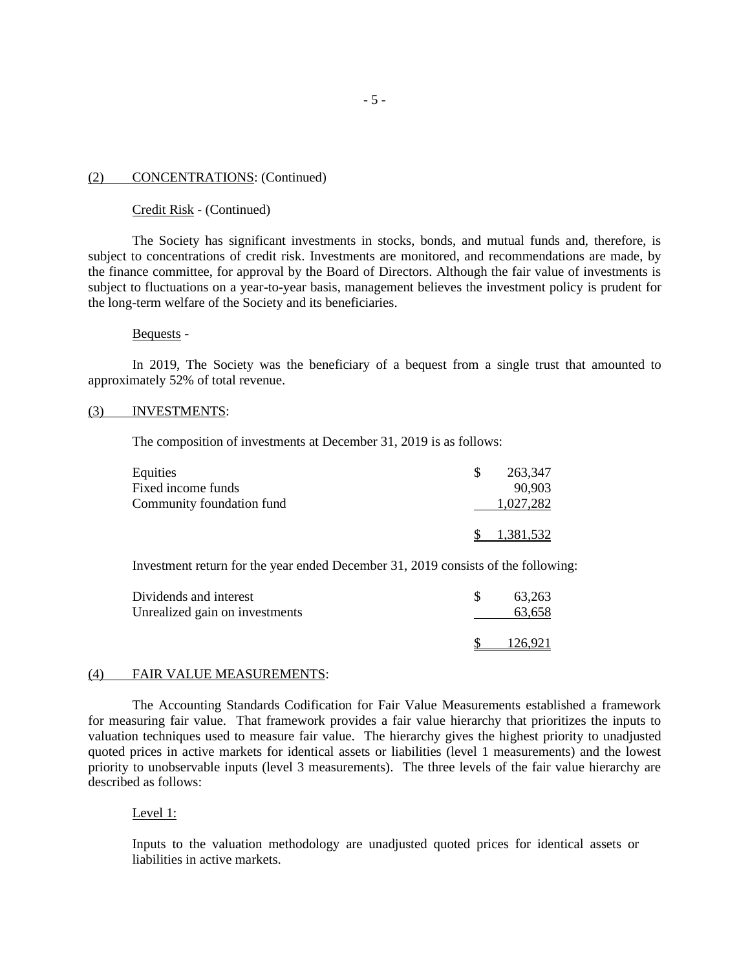### (2) CONCENTRATIONS: (Continued)

### Credit Risk - (Continued)

The Society has significant investments in stocks, bonds, and mutual funds and, therefore, is subject to concentrations of credit risk. Investments are monitored, and recommendations are made, by the finance committee, for approval by the Board of Directors. Although the fair value of investments is subject to fluctuations on a year-to-year basis, management believes the investment policy is prudent for the long-term welfare of the Society and its beneficiaries.

### Bequests -

In 2019, The Society was the beneficiary of a bequest from a single trust that amounted to approximately 52% of total revenue.

### (3) INVESTMENTS:

The composition of investments at December 31, 2019 is as follows:

| Equities                  | 263,347   |
|---------------------------|-----------|
| Fixed income funds        | 90.903    |
| Community foundation fund | 1,027,282 |
|                           | 1,381,532 |

Investment return for the year ended December 31, 2019 consists of the following:

| Dividends and interest<br>Unrealized gain on investments | 63,263<br>63,658 |
|----------------------------------------------------------|------------------|
|                                                          | 126.921          |

#### (4) FAIR VALUE MEASUREMENTS:

The Accounting Standards Codification for Fair Value Measurements established a framework for measuring fair value. That framework provides a fair value hierarchy that prioritizes the inputs to valuation techniques used to measure fair value. The hierarchy gives the highest priority to unadjusted quoted prices in active markets for identical assets or liabilities (level 1 measurements) and the lowest priority to unobservable inputs (level 3 measurements). The three levels of the fair value hierarchy are described as follows:

#### Level 1:

Inputs to the valuation methodology are unadjusted quoted prices for identical assets or liabilities in active markets.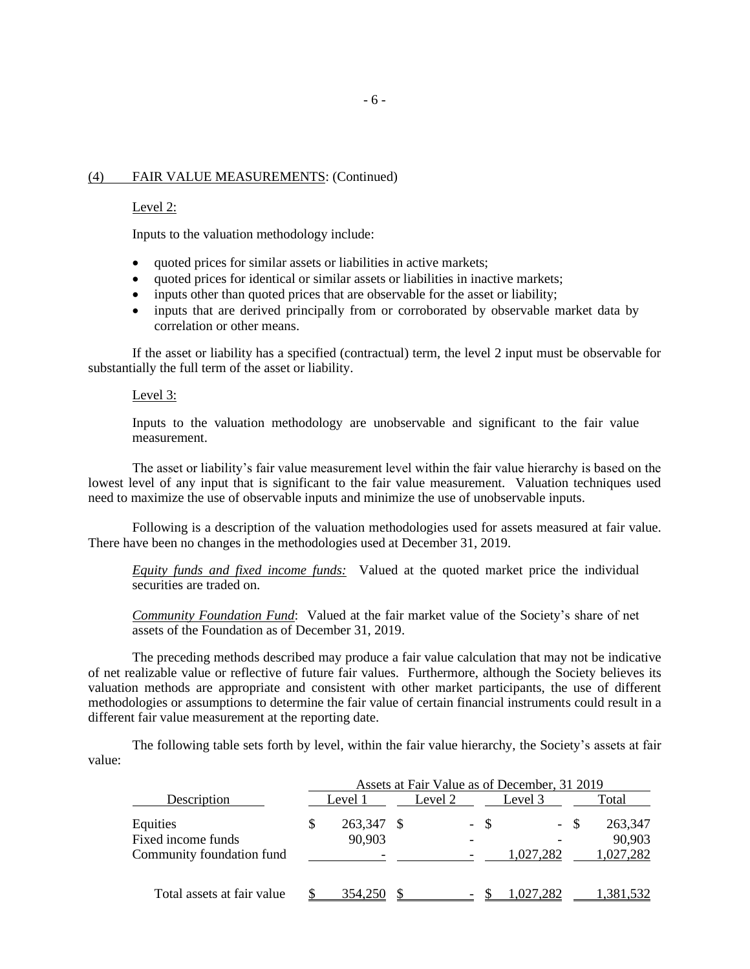### (4) FAIR VALUE MEASUREMENTS: (Continued)

#### Level 2:

Inputs to the valuation methodology include:

- quoted prices for similar assets or liabilities in active markets;
- quoted prices for identical or similar assets or liabilities in inactive markets;
- inputs other than quoted prices that are observable for the asset or liability;
- inputs that are derived principally from or corroborated by observable market data by correlation or other means.

If the asset or liability has a specified (contractual) term, the level 2 input must be observable for substantially the full term of the asset or liability.

#### Level 3:

Inputs to the valuation methodology are unobservable and significant to the fair value measurement.

The asset or liability's fair value measurement level within the fair value hierarchy is based on the lowest level of any input that is significant to the fair value measurement. Valuation techniques used need to maximize the use of observable inputs and minimize the use of unobservable inputs.

Following is a description of the valuation methodologies used for assets measured at fair value. There have been no changes in the methodologies used at December 31, 2019.

*Equity funds and fixed income funds:* Valued at the quoted market price the individual securities are traded on.

*Community Foundation Fund*: Valued at the fair market value of the Society's share of net assets of the Foundation as of December 31, 2019.

The preceding methods described may produce a fair value calculation that may not be indicative of net realizable value or reflective of future fair values. Furthermore, although the Society believes its valuation methods are appropriate and consistent with other market participants, the use of different methodologies or assumptions to determine the fair value of certain financial instruments could result in a different fair value measurement at the reporting date.

The following table sets forth by level, within the fair value hierarchy, the Society's assets at fair value:

|                                                             | Assets at Fair Value as of December, 31 2019 |                   |  |         |      |           |      |                                |  |
|-------------------------------------------------------------|----------------------------------------------|-------------------|--|---------|------|-----------|------|--------------------------------|--|
| Description                                                 |                                              | Level 1           |  | Level 2 |      | Level 3   |      | Total                          |  |
| Equities<br>Fixed income funds<br>Community foundation fund |                                              | 263,347<br>90,903 |  |         | - \$ | 1,027,282 | - \$ | 263,347<br>90,903<br>1,027,282 |  |
| Total assets at fair value                                  |                                              | 354.250           |  |         |      |           |      |                                |  |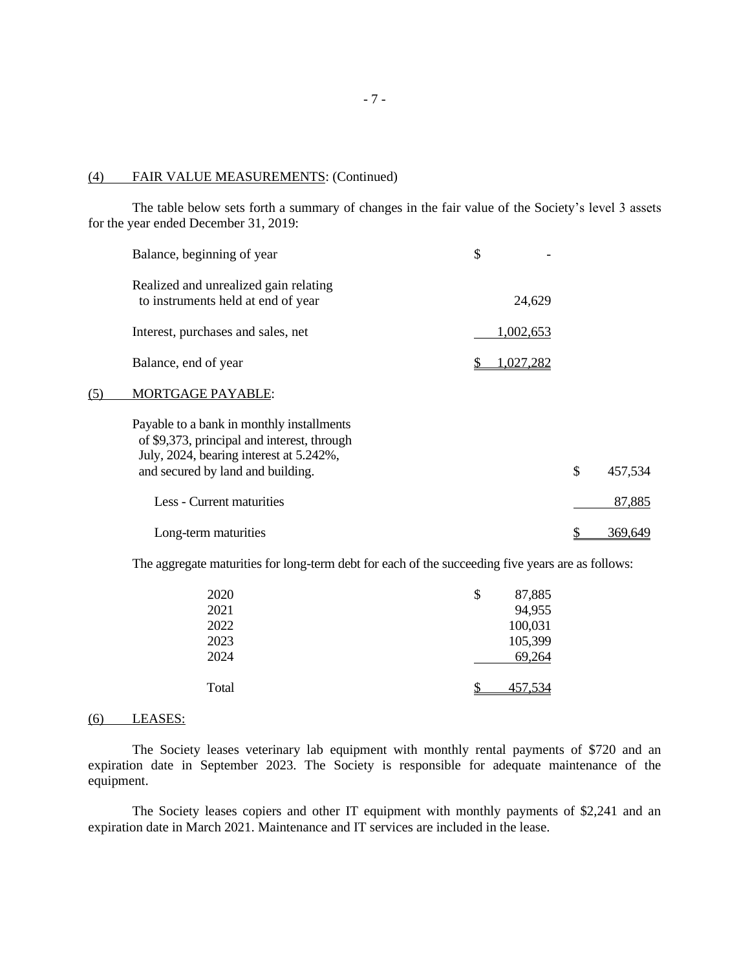### (4) FAIR VALUE MEASUREMENTS: (Continued)

The table below sets forth a summary of changes in the fair value of the Society's level 3 assets for the year ended December 31, 2019:

|     | Balance, beginning of year                                                                                                                                               | \$               |               |
|-----|--------------------------------------------------------------------------------------------------------------------------------------------------------------------------|------------------|---------------|
|     | Realized and unrealized gain relating<br>to instruments held at end of year                                                                                              | 24,629           |               |
|     | Interest, purchases and sales, net                                                                                                                                       | 1,002,653        |               |
|     | Balance, end of year                                                                                                                                                     | <u>1,027,282</u> |               |
| (5) | MORTGAGE PAYABLE:                                                                                                                                                        |                  |               |
|     | Payable to a bank in monthly installments<br>of \$9,373, principal and interest, through<br>July, 2024, bearing interest at 5.242%,<br>and secured by land and building. |                  | \$<br>457,534 |
|     | Less - Current maturities                                                                                                                                                |                  | 87,885        |
|     | Long-term maturities                                                                                                                                                     |                  | 369,649       |

The aggregate maturities for long-term debt for each of the succeeding five years are as follows:

| 2020  | \$<br>87,885 |
|-------|--------------|
| 2021  | 94,955       |
| 2022  | 100,031      |
| 2023  | 105,399      |
| 2024  | 69,264       |
|       |              |
| Total | 457,534      |

### (6) LEASES:

The Society leases veterinary lab equipment with monthly rental payments of \$720 and an expiration date in September 2023. The Society is responsible for adequate maintenance of the equipment.

The Society leases copiers and other IT equipment with monthly payments of \$2,241 and an expiration date in March 2021. Maintenance and IT services are included in the lease.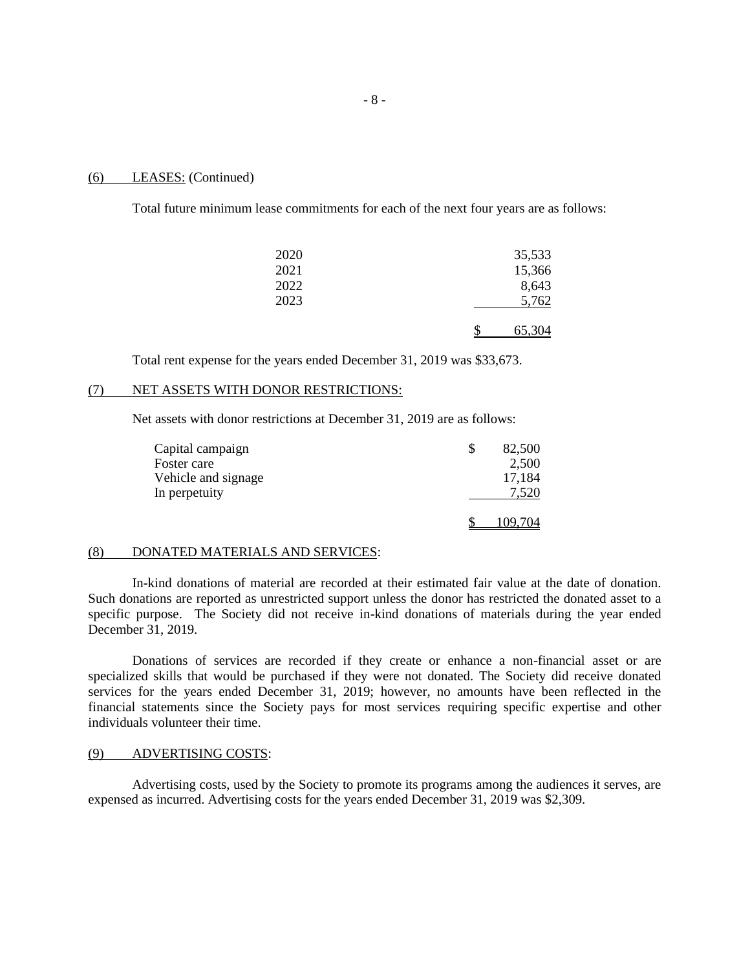#### (6) LEASES: (Continued)

Total future minimum lease commitments for each of the next four years are as follows:

| 2020 | 35,533 |
|------|--------|
| 2021 | 15,366 |
| 2022 | 8,643  |
| 2023 | 5,762  |
|      |        |
|      | 65,304 |

Total rent expense for the years ended December 31, 2019 was \$33,673.

# (7) NET ASSETS WITH DONOR RESTRICTIONS:

Net assets with donor restrictions at December 31, 2019 are as follows:

| Capital campaign    | 82,500  |
|---------------------|---------|
| Foster care         | 2,500   |
| Vehicle and signage | 17,184  |
| In perpetuity       | 7,520   |
|                     | 109,704 |

#### (8) DONATED MATERIALS AND SERVICES:

In-kind donations of material are recorded at their estimated fair value at the date of donation. Such donations are reported as unrestricted support unless the donor has restricted the donated asset to a specific purpose. The Society did not receive in-kind donations of materials during the year ended December 31, 2019.

Donations of services are recorded if they create or enhance a non-financial asset or are specialized skills that would be purchased if they were not donated. The Society did receive donated services for the years ended December 31, 2019; however, no amounts have been reflected in the financial statements since the Society pays for most services requiring specific expertise and other individuals volunteer their time.

#### (9) ADVERTISING COSTS:

Advertising costs, used by the Society to promote its programs among the audiences it serves, are expensed as incurred. Advertising costs for the years ended December 31, 2019 was \$2,309.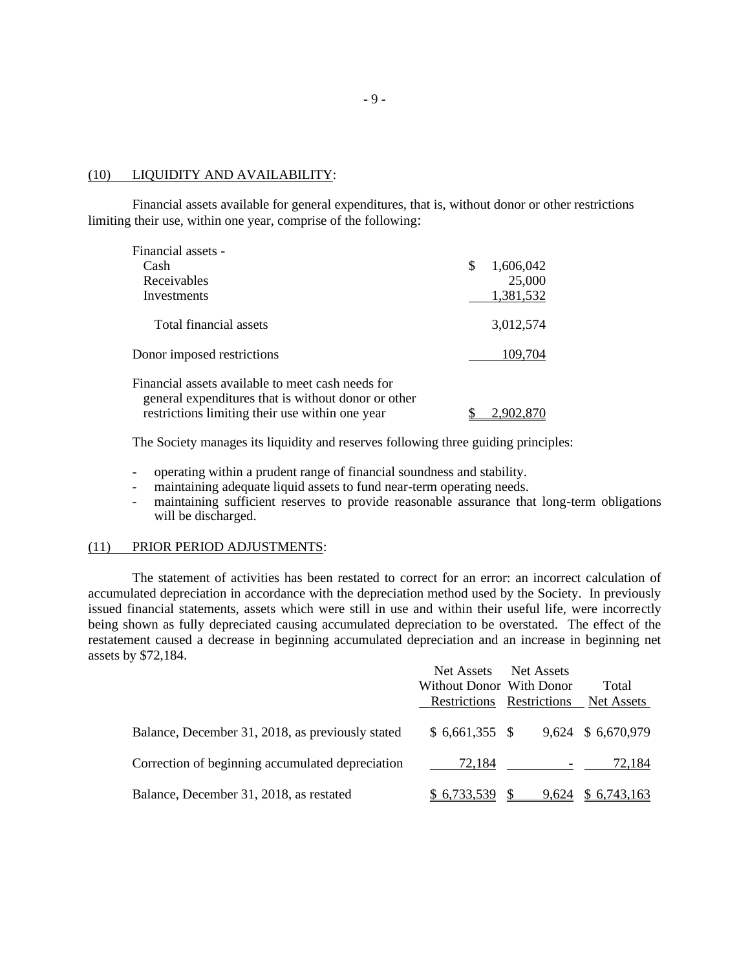### (10) LIQUIDITY AND AVAILABILITY:

Financial assets available for general expenditures, that is, without donor or other restrictions limiting their use, within one year, comprise of the following:

| Financial assets -                                                                                       |                 |
|----------------------------------------------------------------------------------------------------------|-----------------|
| Cash                                                                                                     | \$<br>1,606,042 |
| Receivables                                                                                              | 25,000          |
| Investments                                                                                              | 1,381,532       |
| Total financial assets                                                                                   | 3,012,574       |
| Donor imposed restrictions                                                                               | 109,704         |
| Financial assets available to meet cash needs for<br>general expenditures that is without donor or other |                 |
| restrictions limiting their use within one year                                                          | 2.902.8         |

The Society manages its liquidity and reserves following three guiding principles:

- operating within a prudent range of financial soundness and stability.
- maintaining adequate liquid assets to fund near-term operating needs.
- maintaining sufficient reserves to provide reasonable assurance that long-term obligations will be discharged.

### (11) PRIOR PERIOD ADJUSTMENTS:

The statement of activities has been restated to correct for an error: an incorrect calculation of accumulated depreciation in accordance with the depreciation method used by the Society. In previously issued financial statements, assets which were still in use and within their useful life, were incorrectly being shown as fully depreciated causing accumulated depreciation to be overstated. The effect of the restatement caused a decrease in beginning accumulated depreciation and an increase in beginning net assets by \$72,184.

|                                                  | Net Assets<br>Without Donor With Donor | Net Assets | Total              |
|--------------------------------------------------|----------------------------------------|------------|--------------------|
|                                                  | Restrictions Restrictions              |            | Net Assets         |
| Balance, December 31, 2018, as previously stated | $$6,661,355$ \;                        |            | 9,624 \$ 6,670,979 |
| Correction of beginning accumulated depreciation | 72.184                                 |            | 72.184             |
| Balance, December 31, 2018, as restated          | \$6,733,539                            | 9,624      | \$6,743,163        |